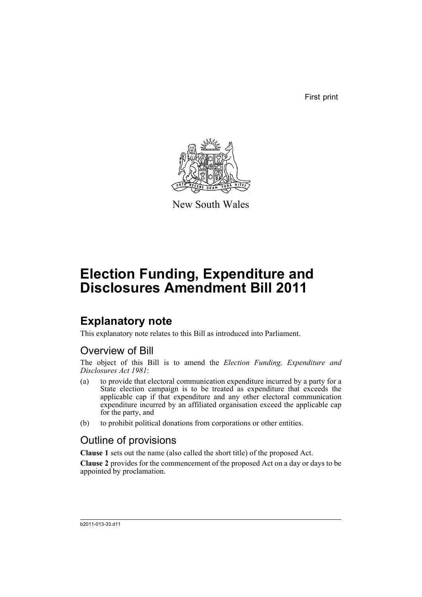First print



New South Wales

# **Election Funding, Expenditure and Disclosures Amendment Bill 2011**

## **Explanatory note**

This explanatory note relates to this Bill as introduced into Parliament.

### Overview of Bill

The object of this Bill is to amend the *Election Funding, Expenditure and Disclosures Act 1981*:

- (a) to provide that electoral communication expenditure incurred by a party for a State election campaign is to be treated as expenditure that exceeds the applicable cap if that expenditure and any other electoral communication expenditure incurred by an affiliated organisation exceed the applicable cap for the party, and
- (b) to prohibit political donations from corporations or other entities.

### Outline of provisions

**Clause 1** sets out the name (also called the short title) of the proposed Act.

**Clause 2** provides for the commencement of the proposed Act on a day or days to be appointed by proclamation.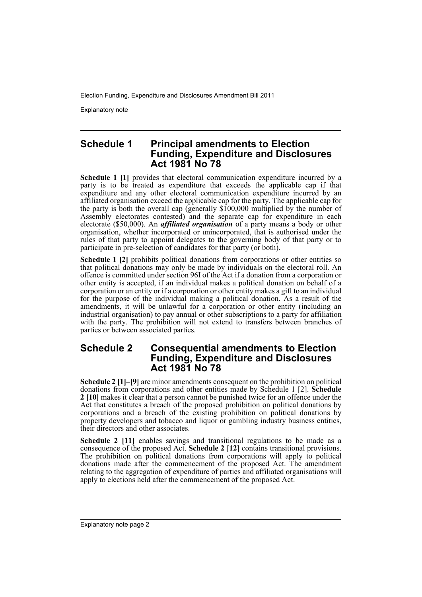Explanatory note

#### **Schedule 1 Principal amendments to Election Funding, Expenditure and Disclosures Act 1981 No 78**

**Schedule 1 [1]** provides that electoral communication expenditure incurred by a party is to be treated as expenditure that exceeds the applicable cap if that expenditure and any other electoral communication expenditure incurred by an affiliated organisation exceed the applicable cap for the party. The applicable cap for the party is both the overall cap (generally \$100,000 multiplied by the number of Assembly electorates contested) and the separate cap for expenditure in each electorate (\$50,000). An *affiliated organisation* of a party means a body or other organisation, whether incorporated or unincorporated, that is authorised under the rules of that party to appoint delegates to the governing body of that party or to participate in pre-selection of candidates for that party (or both).

**Schedule 1 [2]** prohibits political donations from corporations or other entities so that political donations may only be made by individuals on the electoral roll. An offence is committed under section 96I of the Act if a donation from a corporation or other entity is accepted, if an individual makes a political donation on behalf of a corporation or an entity or if a corporation or other entity makes a gift to an individual for the purpose of the individual making a political donation. As a result of the amendments, it will be unlawful for a corporation or other entity (including an industrial organisation) to pay annual or other subscriptions to a party for affiliation with the party. The prohibition will not extend to transfers between branches of parties or between associated parties.

#### **Schedule 2 Consequential amendments to Election Funding, Expenditure and Disclosures Act 1981 No 78**

**Schedule 2 [1]–[9]** are minor amendments consequent on the prohibition on political donations from corporations and other entities made by Schedule 1 [2]. **Schedule 2 [10]** makes it clear that a person cannot be punished twice for an offence under the Act that constitutes a breach of the proposed prohibition on political donations by corporations and a breach of the existing prohibition on political donations by property developers and tobacco and liquor or gambling industry business entities, their directors and other associates.

**Schedule 2** [11] enables savings and transitional regulations to be made as a consequence of the proposed Act. **Schedule 2 [12]** contains transitional provisions. The prohibition on political donations from corporations will apply to political donations made after the commencement of the proposed Act. The amendment relating to the aggregation of expenditure of parties and affiliated organisations will apply to elections held after the commencement of the proposed Act.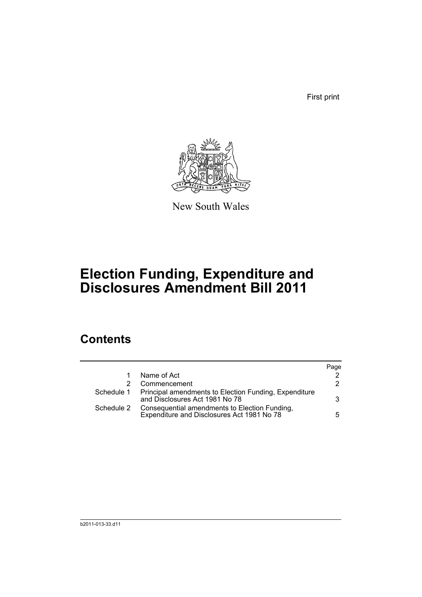First print



New South Wales

# **Election Funding, Expenditure and Disclosures Amendment Bill 2011**

## **Contents**

|            |                                                                                                    | Page |
|------------|----------------------------------------------------------------------------------------------------|------|
|            | Name of Act                                                                                        |      |
|            | Commencement                                                                                       | 2    |
|            | Schedule 1 Principal amendments to Election Funding, Expenditure<br>and Disclosures Act 1981 No 78 | 3    |
| Schedule 2 | Consequential amendments to Election Funding,<br>Expenditure and Disclosures Act 1981 No 78        | 5.   |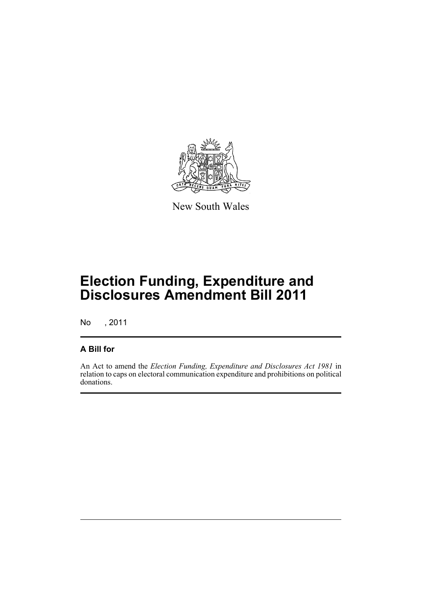

New South Wales

# **Election Funding, Expenditure and Disclosures Amendment Bill 2011**

No , 2011

### **A Bill for**

An Act to amend the *Election Funding, Expenditure and Disclosures Act 1981* in relation to caps on electoral communication expenditure and prohibitions on political donations.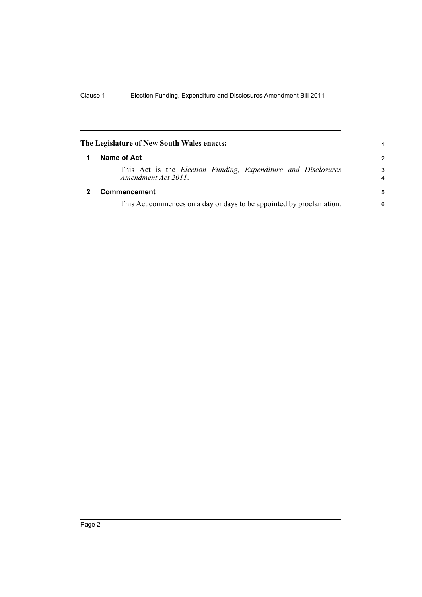<span id="page-5-1"></span><span id="page-5-0"></span>

|                                                                      | The Legislature of New South Wales enacts:                                                          | 1             |
|----------------------------------------------------------------------|-----------------------------------------------------------------------------------------------------|---------------|
|                                                                      | Name of Act                                                                                         | $\mathcal{P}$ |
|                                                                      | This Act is the <i>Election Funding</i> , <i>Expenditure and Disclosures</i><br>Amendment Act 2011. | 3<br>4        |
|                                                                      | Commencement                                                                                        | 5             |
| This Act commences on a day or days to be appointed by proclamation. |                                                                                                     | 6             |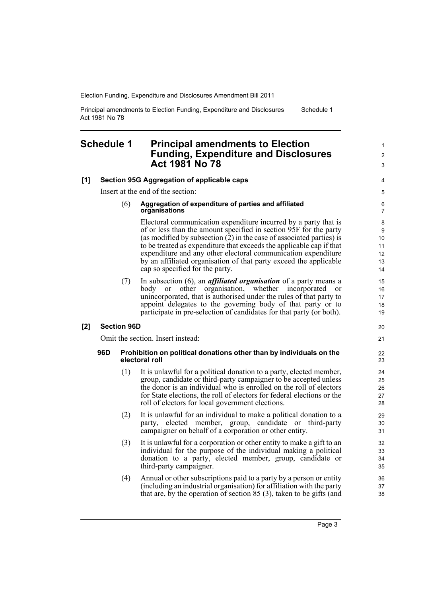Principal amendments to Election Funding, Expenditure and Disclosures Act 1981 No 78 Schedule 1

#### <span id="page-6-0"></span>**Schedule 1 Principal amendments to Election Funding, Expenditure and Disclosures Act 1981 No 78**

**[1] Section 95G Aggregation of applicable caps** Insert at the end of the section: (6) **Aggregation of expenditure of parties and affiliated organisations** Electoral communication expenditure incurred by a party that is of or less than the amount specified in section 95F for the party (as modified by subsection  $(2)$  in the case of associated parties) is to be treated as expenditure that exceeds the applicable cap if that expenditure and any other electoral communication expenditure by an affiliated organisation of that party exceed the applicable cap so specified for the party. (7) In subsection (6), an *affiliated organisation* of a party means a body or other organisation, whether incorporated or unincorporated, that is authorised under the rules of that party to appoint delegates to the governing body of that party or to participate in pre-selection of candidates for that party (or both). **[2] Section 96D** Omit the section. Insert instead: **96D Prohibition on political donations other than by individuals on the electoral roll** (1) It is unlawful for a political donation to a party, elected member, group, candidate or third-party campaigner to be accepted unless the donor is an individual who is enrolled on the roll of electors for State elections, the roll of electors for federal elections or the roll of electors for local government elections. (2) It is unlawful for an individual to make a political donation to a party, elected member, group, candidate or third-party campaigner on behalf of a corporation or other entity. (3) It is unlawful for a corporation or other entity to make a gift to an individual for the purpose of the individual making a political donation to a party, elected member, group, candidate or third-party campaigner. (4) Annual or other subscriptions paid to a party by a person or entity (including an industrial organisation) for affiliation with the party that are, by the operation of section 85 (3), taken to be gifts (and 3 4 5 6 7 8 9 10 11 12 13 14 15 16 17 18 19 20 21 22 23 24 25 26 27 28 29 30 31 32 33  $34$ 35 36 37 38

1  $\mathfrak{p}$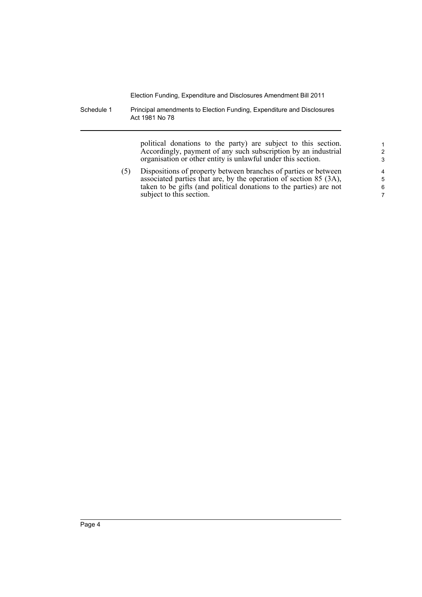Schedule 1 Principal amendments to Election Funding, Expenditure and Disclosures Act 1981 No 78

> political donations to the party) are subject to this section. Accordingly, payment of any such subscription by an industrial organisation or other entity is unlawful under this section.

(5) Dispositions of property between branches of parties or between associated parties that are, by the operation of section 85 (3A), taken to be gifts (and political donations to the parties) are not subject to this section.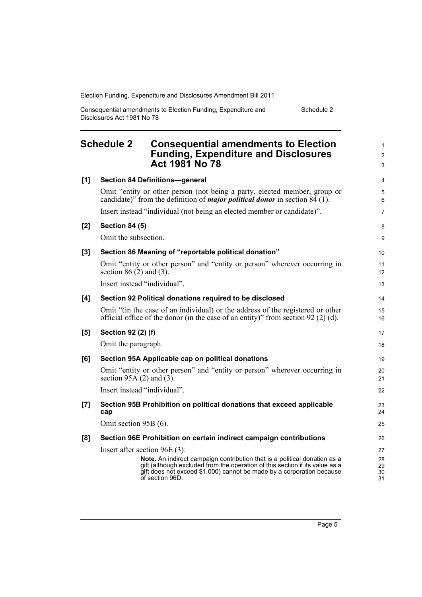| Consequential amendments to Election Funding, Expenditure and | Schedule 2 |
|---------------------------------------------------------------|------------|
| Disclosures Act 1981 No 78                                    |            |

<span id="page-8-0"></span>

| <b>Schedule 2</b><br><b>Consequential amendments to Election</b><br><b>Funding, Expenditure and Disclosures</b><br><b>Act 1981 No 78</b> |                                                                                                                                                                                                                                                       | $\mathbf{1}$<br>2<br>3 |  |
|------------------------------------------------------------------------------------------------------------------------------------------|-------------------------------------------------------------------------------------------------------------------------------------------------------------------------------------------------------------------------------------------------------|------------------------|--|
| [1]                                                                                                                                      | <b>Section 84 Definitions-general</b>                                                                                                                                                                                                                 | 4                      |  |
|                                                                                                                                          | Omit "entity or other person (not being a party, elected member, group or<br>candidate)" from the definition of <i>major political donor</i> in section $84(1)$ .                                                                                     | 5<br>6                 |  |
|                                                                                                                                          | Insert instead "individual (not being an elected member or candidate)".                                                                                                                                                                               |                        |  |
| [2]                                                                                                                                      | <b>Section 84 (5)</b>                                                                                                                                                                                                                                 |                        |  |
|                                                                                                                                          | Omit the subsection.                                                                                                                                                                                                                                  | 9                      |  |
| [3]                                                                                                                                      | Section 86 Meaning of "reportable political donation"                                                                                                                                                                                                 |                        |  |
|                                                                                                                                          | Omit "entity or other person" and "entity or person" wherever occurring in<br>section $86(2)$ and $(3)$ .                                                                                                                                             | 11<br>12               |  |
|                                                                                                                                          | Insert instead "individual".                                                                                                                                                                                                                          | 13                     |  |
| [4]                                                                                                                                      | Section 92 Political donations required to be disclosed                                                                                                                                                                                               | 14                     |  |
|                                                                                                                                          | Omit "(in the case of an individual) or the address of the registered or other<br>official office of the donor (in the case of an entity)" from section $92(2)(d)$ .                                                                                  | 15<br>16               |  |
| [5]                                                                                                                                      | Section 92 (2) (f)                                                                                                                                                                                                                                    | 17                     |  |
|                                                                                                                                          | Omit the paragraph.                                                                                                                                                                                                                                   | 18                     |  |
| [6]                                                                                                                                      | Section 95A Applicable cap on political donations                                                                                                                                                                                                     | 19                     |  |
|                                                                                                                                          | Omit "entity or other person" and "entity or person" wherever occurring in<br>section 95A $(2)$ and $(3)$ .                                                                                                                                           | 20<br>21               |  |
|                                                                                                                                          | Insert instead "individual".                                                                                                                                                                                                                          | 22                     |  |
| [7]                                                                                                                                      | Section 95B Prohibition on political donations that exceed applicable<br>cap                                                                                                                                                                          | 23<br>24               |  |
|                                                                                                                                          | Omit section 95B (6).                                                                                                                                                                                                                                 | 25                     |  |
| [8]                                                                                                                                      | Section 96E Prohibition on certain indirect campaign contributions                                                                                                                                                                                    | 26                     |  |
|                                                                                                                                          | Insert after section $96E(3)$ :                                                                                                                                                                                                                       | 27                     |  |
|                                                                                                                                          | Note. An indirect campaign contribution that is a political donation as a<br>gift (although excluded from the operation of this section if its value as a<br>gift does not exceed \$1,000) cannot be made by a corporation because<br>of section 96D. | 28<br>29<br>30<br>31   |  |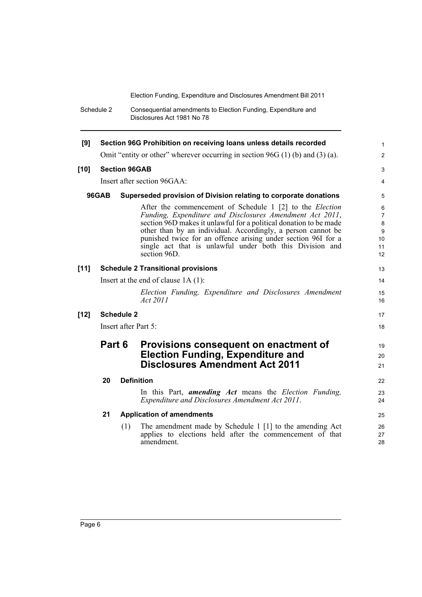Schedule 2 Consequential amendments to Election Funding, Expenditure and Disclosures Act 1981 No 78

| [9]                                                                              | Section 96G Prohibition on receiving loans unless details recorded |     |                                                                                                                                                                                                                                                                                                                                                                                                        |                                                                            |  |
|----------------------------------------------------------------------------------|--------------------------------------------------------------------|-----|--------------------------------------------------------------------------------------------------------------------------------------------------------------------------------------------------------------------------------------------------------------------------------------------------------------------------------------------------------------------------------------------------------|----------------------------------------------------------------------------|--|
|                                                                                  |                                                                    |     | Omit "entity or other" wherever occurring in section $96G(1)$ (b) and (3) (a).                                                                                                                                                                                                                                                                                                                         | 2                                                                          |  |
| $[10]$                                                                           | <b>Section 96GAB</b>                                               |     |                                                                                                                                                                                                                                                                                                                                                                                                        |                                                                            |  |
|                                                                                  |                                                                    |     | Insert after section 96GAA:                                                                                                                                                                                                                                                                                                                                                                            | 4                                                                          |  |
| <b>96GAB</b><br>Superseded provision of Division relating to corporate donations |                                                                    |     |                                                                                                                                                                                                                                                                                                                                                                                                        |                                                                            |  |
|                                                                                  |                                                                    |     | After the commencement of Schedule 1 [2] to the Election<br>Funding, Expenditure and Disclosures Amendment Act 2011,<br>section 96D makes it unlawful for a political donation to be made<br>other than by an individual. Accordingly, a person cannot be<br>punished twice for an offence arising under section 96I for a<br>single act that is unlawful under both this Division and<br>section 96D. | $\,6\,$<br>$\overline{7}$<br>$\bf 8$<br>$\boldsymbol{9}$<br>10<br>11<br>12 |  |
| $[11]$                                                                           |                                                                    |     | <b>Schedule 2 Transitional provisions</b>                                                                                                                                                                                                                                                                                                                                                              | 13                                                                         |  |
|                                                                                  | Insert at the end of clause $1A(1)$ :                              |     | 14                                                                                                                                                                                                                                                                                                                                                                                                     |                                                                            |  |
|                                                                                  |                                                                    |     | Election Funding, Expenditure and Disclosures Amendment<br>Act 2011                                                                                                                                                                                                                                                                                                                                    | 15<br>16                                                                   |  |
| $[12]$                                                                           | <b>Schedule 2</b>                                                  |     |                                                                                                                                                                                                                                                                                                                                                                                                        | 17                                                                         |  |
|                                                                                  | Insert after Part 5:                                               |     | 18                                                                                                                                                                                                                                                                                                                                                                                                     |                                                                            |  |
|                                                                                  | Part 6                                                             |     | Provisions consequent on enactment of<br><b>Election Funding, Expenditure and</b><br><b>Disclosures Amendment Act 2011</b>                                                                                                                                                                                                                                                                             | 19<br>20<br>21                                                             |  |
|                                                                                  | 20                                                                 |     | <b>Definition</b>                                                                                                                                                                                                                                                                                                                                                                                      | 22                                                                         |  |
|                                                                                  |                                                                    |     | In this Part, <i>amending Act</i> means the <i>Election Funding</i> ,<br>Expenditure and Disclosures Amendment Act 2011.                                                                                                                                                                                                                                                                               | 23<br>24                                                                   |  |
|                                                                                  | 21                                                                 |     | <b>Application of amendments</b>                                                                                                                                                                                                                                                                                                                                                                       | 25                                                                         |  |
|                                                                                  |                                                                    | (1) | The amendment made by Schedule 1 [1] to the amending Act<br>applies to elections held after the commencement of that<br>amendment.                                                                                                                                                                                                                                                                     | 26<br>27<br>28                                                             |  |